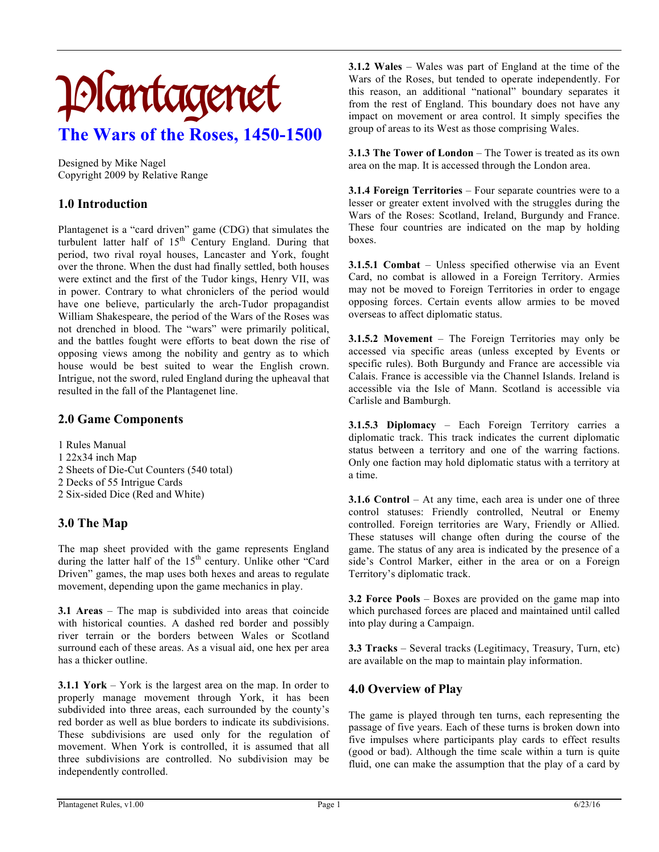# Plantagenet **The Wars of the Roses, 1450-1500**

Designed by Mike Nagel Copyright 2009 by Relative Range

# **1.0 Introduction**

Plantagenet is a "card driven" game (CDG) that simulates the turbulent latter half of  $15<sup>th</sup>$  Century England. During that period, two rival royal houses, Lancaster and York, fought over the throne. When the dust had finally settled, both houses were extinct and the first of the Tudor kings, Henry VII, was in power. Contrary to what chroniclers of the period would have one believe, particularly the arch-Tudor propagandist William Shakespeare, the period of the Wars of the Roses was not drenched in blood. The "wars" were primarily political, and the battles fought were efforts to beat down the rise of opposing views among the nobility and gentry as to which house would be best suited to wear the English crown. Intrigue, not the sword, ruled England during the upheaval that resulted in the fall of the Plantagenet line.

## **2.0 Game Components**

- 1 Rules Manual
- 1 22x34 inch Map
- 2 Sheets of Die-Cut Counters (540 total)
- 2 Decks of 55 Intrigue Cards
- 2 Six-sided Dice (Red and White)

# **3.0 The Map**

The map sheet provided with the game represents England during the latter half of the 15<sup>th</sup> century. Unlike other "Card Driven" games, the map uses both hexes and areas to regulate movement, depending upon the game mechanics in play.

**3.1 Areas** – The map is subdivided into areas that coincide with historical counties. A dashed red border and possibly river terrain or the borders between Wales or Scotland surround each of these areas. As a visual aid, one hex per area has a thicker outline.

**3.1.1 York** – York is the largest area on the map. In order to properly manage movement through York, it has been subdivided into three areas, each surrounded by the county's red border as well as blue borders to indicate its subdivisions. These subdivisions are used only for the regulation of movement. When York is controlled, it is assumed that all three subdivisions are controlled. No subdivision may be independently controlled.

**3.1.2 Wales** – Wales was part of England at the time of the Wars of the Roses, but tended to operate independently. For this reason, an additional "national" boundary separates it from the rest of England. This boundary does not have any impact on movement or area control. It simply specifies the group of areas to its West as those comprising Wales.

**3.1.3 The Tower of London** – The Tower is treated as its own area on the map. It is accessed through the London area.

**3.1.4 Foreign Territories** – Four separate countries were to a lesser or greater extent involved with the struggles during the Wars of the Roses: Scotland, Ireland, Burgundy and France. These four countries are indicated on the map by holding boxes.

**3.1.5.1 Combat** – Unless specified otherwise via an Event Card, no combat is allowed in a Foreign Territory. Armies may not be moved to Foreign Territories in order to engage opposing forces. Certain events allow armies to be moved overseas to affect diplomatic status.

**3.1.5.2 Movement** – The Foreign Territories may only be accessed via specific areas (unless excepted by Events or specific rules). Both Burgundy and France are accessible via Calais. France is accessible via the Channel Islands. Ireland is accessible via the Isle of Mann. Scotland is accessible via Carlisle and Bamburgh.

**3.1.5.3 Diplomacy** – Each Foreign Territory carries a diplomatic track. This track indicates the current diplomatic status between a territory and one of the warring factions. Only one faction may hold diplomatic status with a territory at a time.

**3.1.6 Control** – At any time, each area is under one of three control statuses: Friendly controlled, Neutral or Enemy controlled. Foreign territories are Wary, Friendly or Allied. These statuses will change often during the course of the game. The status of any area is indicated by the presence of a side's Control Marker, either in the area or on a Foreign Territory's diplomatic track.

**3.2 Force Pools** – Boxes are provided on the game map into which purchased forces are placed and maintained until called into play during a Campaign.

**3.3 Tracks** – Several tracks (Legitimacy, Treasury, Turn, etc) are available on the map to maintain play information.

# **4.0 Overview of Play**

The game is played through ten turns, each representing the passage of five years. Each of these turns is broken down into five impulses where participants play cards to effect results (good or bad). Although the time scale within a turn is quite fluid, one can make the assumption that the play of a card by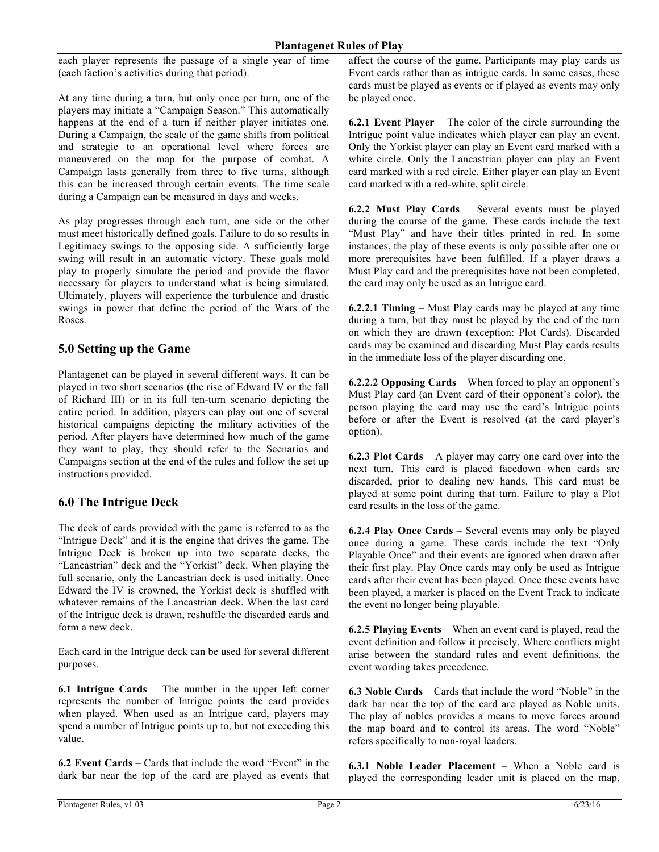each player represents the passage of a single year of time (each faction's activities during that period).

At any time during a turn, but only once per turn, one of the players may initiate a "Campaign Season." This automatically happens at the end of a turn if neither player initiates one. During a Campaign, the scale of the game shifts from political and strategic to an operational level where forces are maneuvered on the map for the purpose of combat. A Campaign lasts generally from three to five turns, although this can be increased through certain events. The time scale during a Campaign can be measured in days and weeks.

As play progresses through each turn, one side or the other must meet historically defined goals. Failure to do so results in Legitimacy swings to the opposing side. A sufficiently large swing will result in an automatic victory. These goals mold play to properly simulate the period and provide the flavor necessary for players to understand what is being simulated. Ultimately, players will experience the turbulence and drastic swings in power that define the period of the Wars of the Roses.

# **5.0 Setting up the Game**

Plantagenet can be played in several different ways. It can be played in two short scenarios (the rise of Edward IV or the fall of Richard III) or in its full ten-turn scenario depicting the entire period. In addition, players can play out one of several historical campaigns depicting the military activities of the period. After players have determined how much of the game they want to play, they should refer to the Scenarios and Campaigns section at the end of the rules and follow the set up instructions provided.

# **6.0 The Intrigue Deck**

The deck of cards provided with the game is referred to as the "Intrigue Deck" and it is the engine that drives the game. The Intrigue Deck is broken up into two separate decks, the "Lancastrian" deck and the "Yorkist" deck. When playing the full scenario, only the Lancastrian deck is used initially. Once Edward the IV is crowned, the Yorkist deck is shuffled with whatever remains of the Lancastrian deck. When the last card of the Intrigue deck is drawn, reshuffle the discarded cards and form a new deck.

Each card in the Intrigue deck can be used for several different purposes.

**6.1 Intrigue Cards** – The number in the upper left corner represents the number of Intrigue points the card provides when played. When used as an Intrigue card, players may spend a number of Intrigue points up to, but not exceeding this value.

**6.2 Event Cards** – Cards that include the word "Event" in the dark bar near the top of the card are played as events that affect the course of the game. Participants may play cards as Event cards rather than as intrigue cards. In some cases, these cards must be played as events or if played as events may only be played once.

**6.2.1 Event Player** – The color of the circle surrounding the Intrigue point value indicates which player can play an event. Only the Yorkist player can play an Event card marked with a white circle. Only the Lancastrian player can play an Event card marked with a red circle. Either player can play an Event card marked with a red-white, split circle.

**6.2.2 Must Play Cards** – Several events must be played during the course of the game. These cards include the text "Must Play" and have their titles printed in red. In some instances, the play of these events is only possible after one or more prerequisites have been fulfilled. If a player draws a Must Play card and the prerequisites have not been completed, the card may only be used as an Intrigue card.

**6.2.2.1 Timing** – Must Play cards may be played at any time during a turn, but they must be played by the end of the turn on which they are drawn (exception: Plot Cards). Discarded cards may be examined and discarding Must Play cards results in the immediate loss of the player discarding one.

**6.2.2.2 Opposing Cards** – When forced to play an opponent's Must Play card (an Event card of their opponent's color), the person playing the card may use the card's Intrigue points before or after the Event is resolved (at the card player's option).

**6.2.3 Plot Cards** – A player may carry one card over into the next turn. This card is placed facedown when cards are discarded, prior to dealing new hands. This card must be played at some point during that turn. Failure to play a Plot card results in the loss of the game.

**6.2.4 Play Once Cards** – Several events may only be played once during a game. These cards include the text "Only Playable Once" and their events are ignored when drawn after their first play. Play Once cards may only be used as Intrigue cards after their event has been played. Once these events have been played, a marker is placed on the Event Track to indicate the event no longer being playable.

**6.2.5 Playing Events** – When an event card is played, read the event definition and follow it precisely. Where conflicts might arise between the standard rules and event definitions, the event wording takes precedence.

**6.3 Noble Cards** – Cards that include the word "Noble" in the dark bar near the top of the card are played as Noble units. The play of nobles provides a means to move forces around the map board and to control its areas. The word "Noble" refers specifically to non-royal leaders.

**6.3.1 Noble Leader Placement** – When a Noble card is played the corresponding leader unit is placed on the map,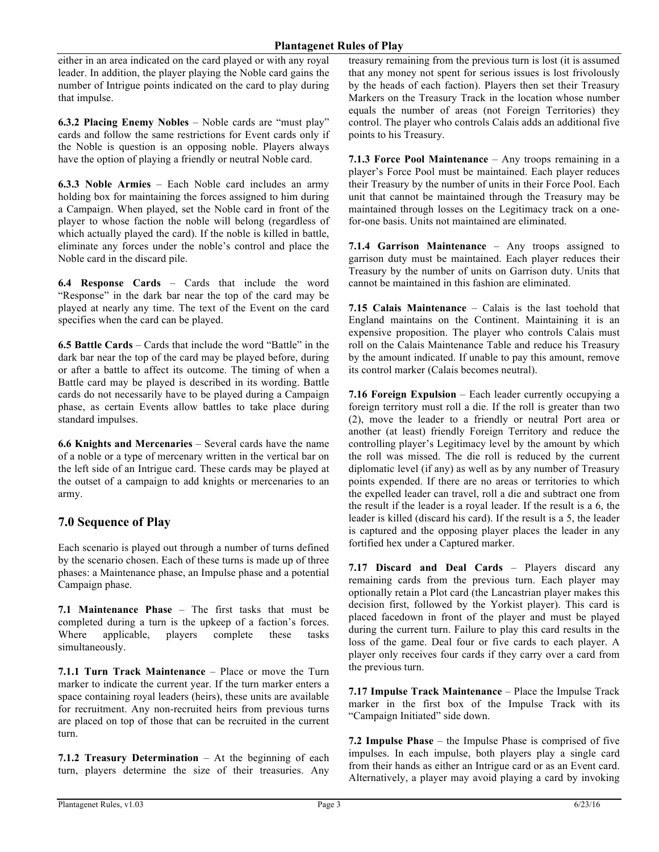either in an area indicated on the card played or with any royal leader. In addition, the player playing the Noble card gains the number of Intrigue points indicated on the card to play during that impulse.

**6.3.2 Placing Enemy Nobles** – Noble cards are "must play" cards and follow the same restrictions for Event cards only if the Noble is question is an opposing noble. Players always have the option of playing a friendly or neutral Noble card.

**6.3.3 Noble Armies** – Each Noble card includes an army holding box for maintaining the forces assigned to him during a Campaign. When played, set the Noble card in front of the player to whose faction the noble will belong (regardless of which actually played the card). If the noble is killed in battle, eliminate any forces under the noble's control and place the Noble card in the discard pile.

**6.4 Response Cards** – Cards that include the word "Response" in the dark bar near the top of the card may be played at nearly any time. The text of the Event on the card specifies when the card can be played.

**6.5 Battle Cards** – Cards that include the word "Battle" in the dark bar near the top of the card may be played before, during or after a battle to affect its outcome. The timing of when a Battle card may be played is described in its wording. Battle cards do not necessarily have to be played during a Campaign phase, as certain Events allow battles to take place during standard impulses.

**6.6 Knights and Mercenaries** – Several cards have the name of a noble or a type of mercenary written in the vertical bar on the left side of an Intrigue card. These cards may be played at the outset of a campaign to add knights or mercenaries to an army.

### **7.0 Sequence of Play**

Each scenario is played out through a number of turns defined by the scenario chosen. Each of these turns is made up of three phases: a Maintenance phase, an Impulse phase and a potential Campaign phase.

**7.1 Maintenance Phase** – The first tasks that must be completed during a turn is the upkeep of a faction's forces. Where applicable, players complete these tasks simultaneously.

**7.1.1 Turn Track Maintenance** – Place or move the Turn marker to indicate the current year. If the turn marker enters a space containing royal leaders (heirs), these units are available for recruitment. Any non-recruited heirs from previous turns are placed on top of those that can be recruited in the current turn.

**7.1.2 Treasury Determination** – At the beginning of each turn, players determine the size of their treasuries. Any treasury remaining from the previous turn is lost (it is assumed that any money not spent for serious issues is lost frivolously by the heads of each faction). Players then set their Treasury Markers on the Treasury Track in the location whose number equals the number of areas (not Foreign Territories) they control. The player who controls Calais adds an additional five points to his Treasury.

**7.1.3 Force Pool Maintenance** – Any troops remaining in a player's Force Pool must be maintained. Each player reduces their Treasury by the number of units in their Force Pool. Each unit that cannot be maintained through the Treasury may be maintained through losses on the Legitimacy track on a onefor-one basis. Units not maintained are eliminated.

**7.1.4 Garrison Maintenance** – Any troops assigned to garrison duty must be maintained. Each player reduces their Treasury by the number of units on Garrison duty. Units that cannot be maintained in this fashion are eliminated.

**7.15 Calais Maintenance** – Calais is the last toehold that England maintains on the Continent. Maintaining it is an expensive proposition. The player who controls Calais must roll on the Calais Maintenance Table and reduce his Treasury by the amount indicated. If unable to pay this amount, remove its control marker (Calais becomes neutral).

**7.16 Foreign Expulsion** – Each leader currently occupying a foreign territory must roll a die. If the roll is greater than two (2), move the leader to a friendly or neutral Port area or another (at least) friendly Foreign Territory and reduce the controlling player's Legitimacy level by the amount by which the roll was missed. The die roll is reduced by the current diplomatic level (if any) as well as by any number of Treasury points expended. If there are no areas or territories to which the expelled leader can travel, roll a die and subtract one from the result if the leader is a royal leader. If the result is a 6, the leader is killed (discard his card). If the result is a 5, the leader is captured and the opposing player places the leader in any fortified hex under a Captured marker.

**7.17 Discard and Deal Cards** – Players discard any remaining cards from the previous turn. Each player may optionally retain a Plot card (the Lancastrian player makes this decision first, followed by the Yorkist player). This card is placed facedown in front of the player and must be played during the current turn. Failure to play this card results in the loss of the game. Deal four or five cards to each player. A player only receives four cards if they carry over a card from the previous turn.

**7.17 Impulse Track Maintenance** – Place the Impulse Track marker in the first box of the Impulse Track with its "Campaign Initiated" side down.

**7.2 Impulse Phase** – the Impulse Phase is comprised of five impulses. In each impulse, both players play a single card from their hands as either an Intrigue card or as an Event card. Alternatively, a player may avoid playing a card by invoking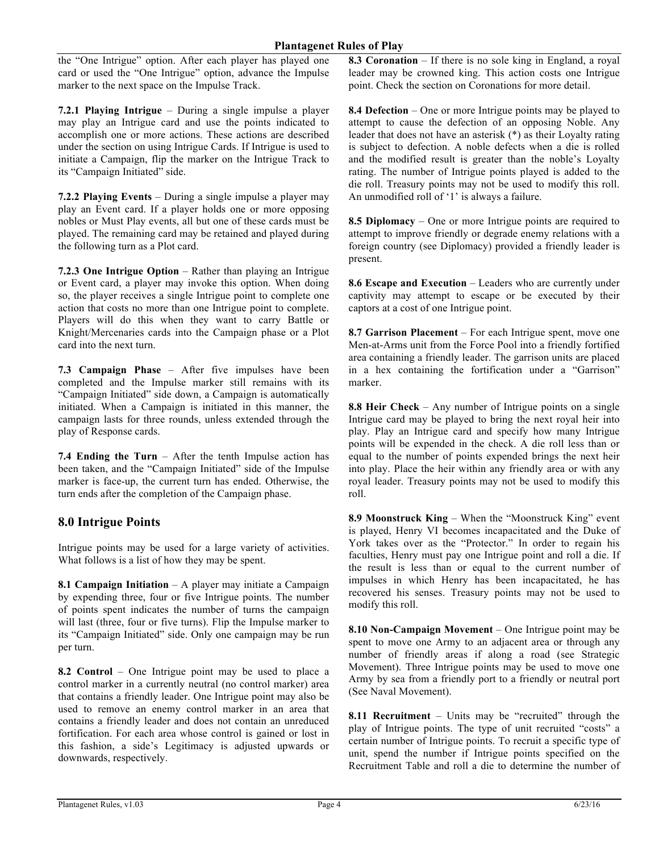the "One Intrigue" option. After each player has played one card or used the "One Intrigue" option, advance the Impulse marker to the next space on the Impulse Track.

**7.2.1 Playing Intrigue** – During a single impulse a player may play an Intrigue card and use the points indicated to accomplish one or more actions. These actions are described under the section on using Intrigue Cards. If Intrigue is used to initiate a Campaign, flip the marker on the Intrigue Track to its "Campaign Initiated" side.

**7.2.2 Playing Events** – During a single impulse a player may play an Event card. If a player holds one or more opposing nobles or Must Play events, all but one of these cards must be played. The remaining card may be retained and played during the following turn as a Plot card.

**7.2.3 One Intrigue Option** – Rather than playing an Intrigue or Event card, a player may invoke this option. When doing so, the player receives a single Intrigue point to complete one action that costs no more than one Intrigue point to complete. Players will do this when they want to carry Battle or Knight/Mercenaries cards into the Campaign phase or a Plot card into the next turn.

**7.3 Campaign Phase** – After five impulses have been completed and the Impulse marker still remains with its "Campaign Initiated" side down, a Campaign is automatically initiated. When a Campaign is initiated in this manner, the campaign lasts for three rounds, unless extended through the play of Response cards.

**7.4 Ending the Turn** – After the tenth Impulse action has been taken, and the "Campaign Initiated" side of the Impulse marker is face-up, the current turn has ended. Otherwise, the turn ends after the completion of the Campaign phase.

# **8.0 Intrigue Points**

Intrigue points may be used for a large variety of activities. What follows is a list of how they may be spent.

**8.1 Campaign Initiation** – A player may initiate a Campaign by expending three, four or five Intrigue points. The number of points spent indicates the number of turns the campaign will last (three, four or five turns). Flip the Impulse marker to its "Campaign Initiated" side. Only one campaign may be run per turn.

**8.2 Control** – One Intrigue point may be used to place a control marker in a currently neutral (no control marker) area that contains a friendly leader. One Intrigue point may also be used to remove an enemy control marker in an area that contains a friendly leader and does not contain an unreduced fortification. For each area whose control is gained or lost in this fashion, a side's Legitimacy is adjusted upwards or downwards, respectively.

**8.3 Coronation** – If there is no sole king in England, a royal leader may be crowned king. This action costs one Intrigue point. Check the section on Coronations for more detail.

**8.4 Defection** – One or more Intrigue points may be played to attempt to cause the defection of an opposing Noble. Any leader that does not have an asterisk (\*) as their Loyalty rating is subject to defection. A noble defects when a die is rolled and the modified result is greater than the noble's Loyalty rating. The number of Intrigue points played is added to the die roll. Treasury points may not be used to modify this roll. An unmodified roll of '1' is always a failure.

**8.5 Diplomacy** – One or more Intrigue points are required to attempt to improve friendly or degrade enemy relations with a foreign country (see Diplomacy) provided a friendly leader is present.

**8.6 Escape and Execution** – Leaders who are currently under captivity may attempt to escape or be executed by their captors at a cost of one Intrigue point.

**8.7 Garrison Placement** – For each Intrigue spent, move one Men-at-Arms unit from the Force Pool into a friendly fortified area containing a friendly leader. The garrison units are placed in a hex containing the fortification under a "Garrison" marker.

**8.8 Heir Check** – Any number of Intrigue points on a single Intrigue card may be played to bring the next royal heir into play. Play an Intrigue card and specify how many Intrigue points will be expended in the check. A die roll less than or equal to the number of points expended brings the next heir into play. Place the heir within any friendly area or with any royal leader. Treasury points may not be used to modify this roll.

**8.9 Moonstruck King** – When the "Moonstruck King" event is played, Henry VI becomes incapacitated and the Duke of York takes over as the "Protector." In order to regain his faculties, Henry must pay one Intrigue point and roll a die. If the result is less than or equal to the current number of impulses in which Henry has been incapacitated, he has recovered his senses. Treasury points may not be used to modify this roll.

**8.10 Non-Campaign Movement** – One Intrigue point may be spent to move one Army to an adjacent area or through any number of friendly areas if along a road (see Strategic Movement). Three Intrigue points may be used to move one Army by sea from a friendly port to a friendly or neutral port (See Naval Movement).

**8.11 Recruitment** – Units may be "recruited" through the play of Intrigue points. The type of unit recruited "costs" a certain number of Intrigue points. To recruit a specific type of unit, spend the number if Intrigue points specified on the Recruitment Table and roll a die to determine the number of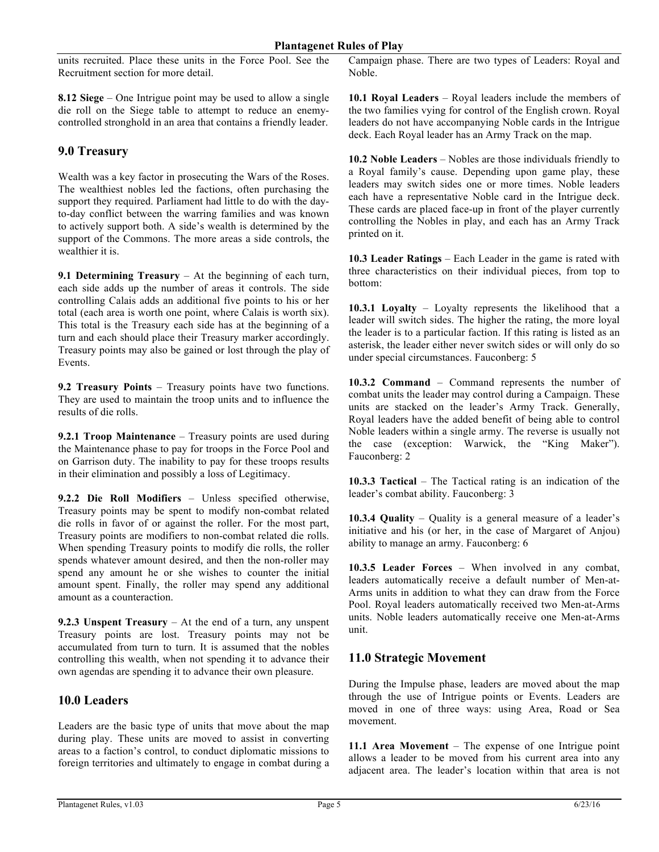units recruited. Place these units in the Force Pool. See the Recruitment section for more detail.

**8.12 Siege** – One Intrigue point may be used to allow a single die roll on the Siege table to attempt to reduce an enemycontrolled stronghold in an area that contains a friendly leader.

## **9.0 Treasury**

Wealth was a key factor in prosecuting the Wars of the Roses. The wealthiest nobles led the factions, often purchasing the support they required. Parliament had little to do with the dayto-day conflict between the warring families and was known to actively support both. A side's wealth is determined by the support of the Commons. The more areas a side controls, the wealthier it is.

**9.1 Determining Treasury** – At the beginning of each turn, each side adds up the number of areas it controls. The side controlling Calais adds an additional five points to his or her total (each area is worth one point, where Calais is worth six). This total is the Treasury each side has at the beginning of a turn and each should place their Treasury marker accordingly. Treasury points may also be gained or lost through the play of Events.

**9.2 Treasury Points** – Treasury points have two functions. They are used to maintain the troop units and to influence the results of die rolls.

**9.2.1 Troop Maintenance** – Treasury points are used during the Maintenance phase to pay for troops in the Force Pool and on Garrison duty. The inability to pay for these troops results in their elimination and possibly a loss of Legitimacy.

**9.2.2 Die Roll Modifiers** – Unless specified otherwise, Treasury points may be spent to modify non-combat related die rolls in favor of or against the roller. For the most part, Treasury points are modifiers to non-combat related die rolls. When spending Treasury points to modify die rolls, the roller spends whatever amount desired, and then the non-roller may spend any amount he or she wishes to counter the initial amount spent. Finally, the roller may spend any additional amount as a counteraction.

**9.2.3 Unspent Treasury** – At the end of a turn, any unspent Treasury points are lost. Treasury points may not be accumulated from turn to turn. It is assumed that the nobles controlling this wealth, when not spending it to advance their own agendas are spending it to advance their own pleasure.

### **10.0 Leaders**

Leaders are the basic type of units that move about the map during play. These units are moved to assist in converting areas to a faction's control, to conduct diplomatic missions to foreign territories and ultimately to engage in combat during a

Campaign phase. There are two types of Leaders: Royal and Noble.

**10.1 Royal Leaders** – Royal leaders include the members of the two families vying for control of the English crown. Royal leaders do not have accompanying Noble cards in the Intrigue deck. Each Royal leader has an Army Track on the map.

**10.2 Noble Leaders** – Nobles are those individuals friendly to a Royal family's cause. Depending upon game play, these leaders may switch sides one or more times. Noble leaders each have a representative Noble card in the Intrigue deck. These cards are placed face-up in front of the player currently controlling the Nobles in play, and each has an Army Track printed on it.

**10.3 Leader Ratings** – Each Leader in the game is rated with three characteristics on their individual pieces, from top to bottom:

**10.3.1 Loyalty** – Loyalty represents the likelihood that a leader will switch sides. The higher the rating, the more loyal the leader is to a particular faction. If this rating is listed as an asterisk, the leader either never switch sides or will only do so under special circumstances. Fauconberg: 5

**10.3.2 Command** – Command represents the number of combat units the leader may control during a Campaign. These units are stacked on the leader's Army Track. Generally, Royal leaders have the added benefit of being able to control Noble leaders within a single army. The reverse is usually not the case (exception: Warwick, the "King Maker"). Fauconberg: 2

**10.3.3 Tactical** – The Tactical rating is an indication of the leader's combat ability. Fauconberg: 3

**10.3.4 Quality** – Quality is a general measure of a leader's initiative and his (or her, in the case of Margaret of Anjou) ability to manage an army. Fauconberg: 6

**10.3.5 Leader Forces** – When involved in any combat, leaders automatically receive a default number of Men-at-Arms units in addition to what they can draw from the Force Pool. Royal leaders automatically received two Men-at-Arms units. Noble leaders automatically receive one Men-at-Arms unit.

# **11.0 Strategic Movement**

During the Impulse phase, leaders are moved about the map through the use of Intrigue points or Events. Leaders are moved in one of three ways: using Area, Road or Sea movement.

**11.1 Area Movement** – The expense of one Intrigue point allows a leader to be moved from his current area into any adjacent area. The leader's location within that area is not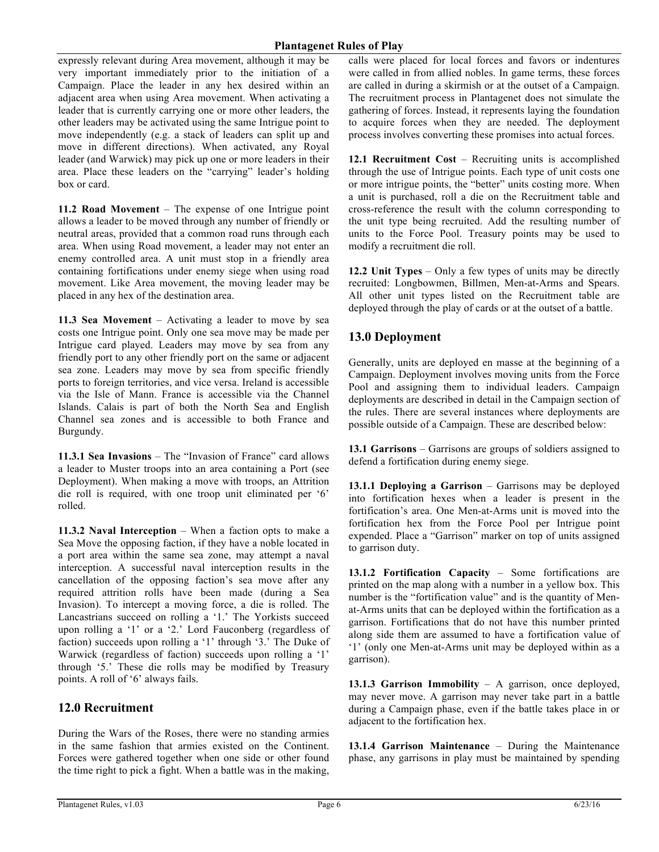expressly relevant during Area movement, although it may be very important immediately prior to the initiation of a Campaign. Place the leader in any hex desired within an adjacent area when using Area movement. When activating a leader that is currently carrying one or more other leaders, the other leaders may be activated using the same Intrigue point to move independently (e.g. a stack of leaders can split up and move in different directions). When activated, any Royal leader (and Warwick) may pick up one or more leaders in their area. Place these leaders on the "carrying" leader's holding box or card.

**11.2 Road Movement** – The expense of one Intrigue point allows a leader to be moved through any number of friendly or neutral areas, provided that a common road runs through each area. When using Road movement, a leader may not enter an enemy controlled area. A unit must stop in a friendly area containing fortifications under enemy siege when using road movement. Like Area movement, the moving leader may be placed in any hex of the destination area.

**11.3 Sea Movement** – Activating a leader to move by sea costs one Intrigue point. Only one sea move may be made per Intrigue card played. Leaders may move by sea from any friendly port to any other friendly port on the same or adjacent sea zone. Leaders may move by sea from specific friendly ports to foreign territories, and vice versa. Ireland is accessible via the Isle of Mann. France is accessible via the Channel Islands. Calais is part of both the North Sea and English Channel sea zones and is accessible to both France and Burgundy.

**11.3.1 Sea Invasions** – The "Invasion of France" card allows a leader to Muster troops into an area containing a Port (see Deployment). When making a move with troops, an Attrition die roll is required, with one troop unit eliminated per '6' rolled.

**11.3.2 Naval Interception** – When a faction opts to make a Sea Move the opposing faction, if they have a noble located in a port area within the same sea zone, may attempt a naval interception. A successful naval interception results in the cancellation of the opposing faction's sea move after any required attrition rolls have been made (during a Sea Invasion). To intercept a moving force, a die is rolled. The Lancastrians succeed on rolling a '1.' The Yorkists succeed upon rolling a '1' or a '2.' Lord Fauconberg (regardless of faction) succeeds upon rolling a '1' through '3.' The Duke of Warwick (regardless of faction) succeeds upon rolling a '1' through '5.' These die rolls may be modified by Treasury points. A roll of '6' always fails.

### **12.0 Recruitment**

During the Wars of the Roses, there were no standing armies in the same fashion that armies existed on the Continent. Forces were gathered together when one side or other found the time right to pick a fight. When a battle was in the making,

calls were placed for local forces and favors or indentures were called in from allied nobles. In game terms, these forces are called in during a skirmish or at the outset of a Campaign. The recruitment process in Plantagenet does not simulate the gathering of forces. Instead, it represents laying the foundation to acquire forces when they are needed. The deployment process involves converting these promises into actual forces.

**12.1 Recruitment Cost** – Recruiting units is accomplished through the use of Intrigue points. Each type of unit costs one or more intrigue points, the "better" units costing more. When a unit is purchased, roll a die on the Recruitment table and cross-reference the result with the column corresponding to the unit type being recruited. Add the resulting number of units to the Force Pool. Treasury points may be used to modify a recruitment die roll.

**12.2 Unit Types** – Only a few types of units may be directly recruited: Longbowmen, Billmen, Men-at-Arms and Spears. All other unit types listed on the Recruitment table are deployed through the play of cards or at the outset of a battle.

### **13.0 Deployment**

Generally, units are deployed en masse at the beginning of a Campaign. Deployment involves moving units from the Force Pool and assigning them to individual leaders. Campaign deployments are described in detail in the Campaign section of the rules. There are several instances where deployments are possible outside of a Campaign. These are described below:

**13.1 Garrisons** – Garrisons are groups of soldiers assigned to defend a fortification during enemy siege.

**13.1.1 Deploying a Garrison** – Garrisons may be deployed into fortification hexes when a leader is present in the fortification's area. One Men-at-Arms unit is moved into the fortification hex from the Force Pool per Intrigue point expended. Place a "Garrison" marker on top of units assigned to garrison duty.

**13.1.2 Fortification Capacity** – Some fortifications are printed on the map along with a number in a yellow box. This number is the "fortification value" and is the quantity of Menat-Arms units that can be deployed within the fortification as a garrison. Fortifications that do not have this number printed along side them are assumed to have a fortification value of '1' (only one Men-at-Arms unit may be deployed within as a garrison).

**13.1.3 Garrison Immobility** – A garrison, once deployed, may never move. A garrison may never take part in a battle during a Campaign phase, even if the battle takes place in or adjacent to the fortification hex.

**13.1.4 Garrison Maintenance** – During the Maintenance phase, any garrisons in play must be maintained by spending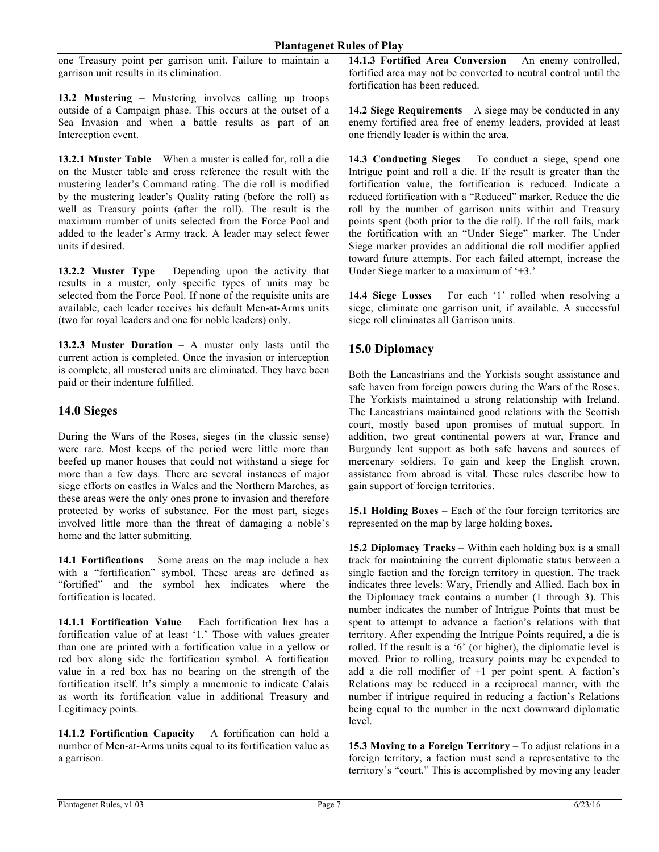one Treasury point per garrison unit. Failure to maintain a garrison unit results in its elimination.

**13.2 Mustering** – Mustering involves calling up troops outside of a Campaign phase. This occurs at the outset of a Sea Invasion and when a battle results as part of an Interception event.

**13.2.1 Muster Table** – When a muster is called for, roll a die on the Muster table and cross reference the result with the mustering leader's Command rating. The die roll is modified by the mustering leader's Quality rating (before the roll) as well as Treasury points (after the roll). The result is the maximum number of units selected from the Force Pool and added to the leader's Army track. A leader may select fewer units if desired.

**13.2.2 Muster Type** – Depending upon the activity that results in a muster, only specific types of units may be selected from the Force Pool. If none of the requisite units are available, each leader receives his default Men-at-Arms units (two for royal leaders and one for noble leaders) only.

**13.2.3 Muster Duration** – A muster only lasts until the current action is completed. Once the invasion or interception is complete, all mustered units are eliminated. They have been paid or their indenture fulfilled.

## **14.0 Sieges**

During the Wars of the Roses, sieges (in the classic sense) were rare. Most keeps of the period were little more than beefed up manor houses that could not withstand a siege for more than a few days. There are several instances of major siege efforts on castles in Wales and the Northern Marches, as these areas were the only ones prone to invasion and therefore protected by works of substance. For the most part, sieges involved little more than the threat of damaging a noble's home and the latter submitting.

**14.1 Fortifications** – Some areas on the map include a hex with a "fortification" symbol. These areas are defined as "fortified" and the symbol hex indicates where the fortification is located.

**14.1.1 Fortification Value** – Each fortification hex has a fortification value of at least '1.' Those with values greater than one are printed with a fortification value in a yellow or red box along side the fortification symbol. A fortification value in a red box has no bearing on the strength of the fortification itself. It's simply a mnemonic to indicate Calais as worth its fortification value in additional Treasury and Legitimacy points.

**14.1.2 Fortification Capacity** – A fortification can hold a number of Men-at-Arms units equal to its fortification value as a garrison.

**14.1.3 Fortified Area Conversion** – An enemy controlled, fortified area may not be converted to neutral control until the fortification has been reduced.

**14.2 Siege Requirements** – A siege may be conducted in any enemy fortified area free of enemy leaders, provided at least one friendly leader is within the area.

**14.3 Conducting Sieges** – To conduct a siege, spend one Intrigue point and roll a die. If the result is greater than the fortification value, the fortification is reduced. Indicate a reduced fortification with a "Reduced" marker. Reduce the die roll by the number of garrison units within and Treasury points spent (both prior to the die roll). If the roll fails, mark the fortification with an "Under Siege" marker. The Under Siege marker provides an additional die roll modifier applied toward future attempts. For each failed attempt, increase the Under Siege marker to a maximum of '+3.'

**14.4 Siege Losses** – For each '1' rolled when resolving a siege, eliminate one garrison unit, if available. A successful siege roll eliminates all Garrison units.

# **15.0 Diplomacy**

Both the Lancastrians and the Yorkists sought assistance and safe haven from foreign powers during the Wars of the Roses. The Yorkists maintained a strong relationship with Ireland. The Lancastrians maintained good relations with the Scottish court, mostly based upon promises of mutual support. In addition, two great continental powers at war, France and Burgundy lent support as both safe havens and sources of mercenary soldiers. To gain and keep the English crown, assistance from abroad is vital. These rules describe how to gain support of foreign territories.

**15.1 Holding Boxes** – Each of the four foreign territories are represented on the map by large holding boxes.

**15.2 Diplomacy Tracks** – Within each holding box is a small track for maintaining the current diplomatic status between a single faction and the foreign territory in question. The track indicates three levels: Wary, Friendly and Allied. Each box in the Diplomacy track contains a number (1 through 3). This number indicates the number of Intrigue Points that must be spent to attempt to advance a faction's relations with that territory. After expending the Intrigue Points required, a die is rolled. If the result is a '6' (or higher), the diplomatic level is moved. Prior to rolling, treasury points may be expended to add a die roll modifier of +1 per point spent. A faction's Relations may be reduced in a reciprocal manner, with the number if intrigue required in reducing a faction's Relations being equal to the number in the next downward diplomatic level.

**15.3 Moving to a Foreign Territory** – To adjust relations in a foreign territory, a faction must send a representative to the territory's "court." This is accomplished by moving any leader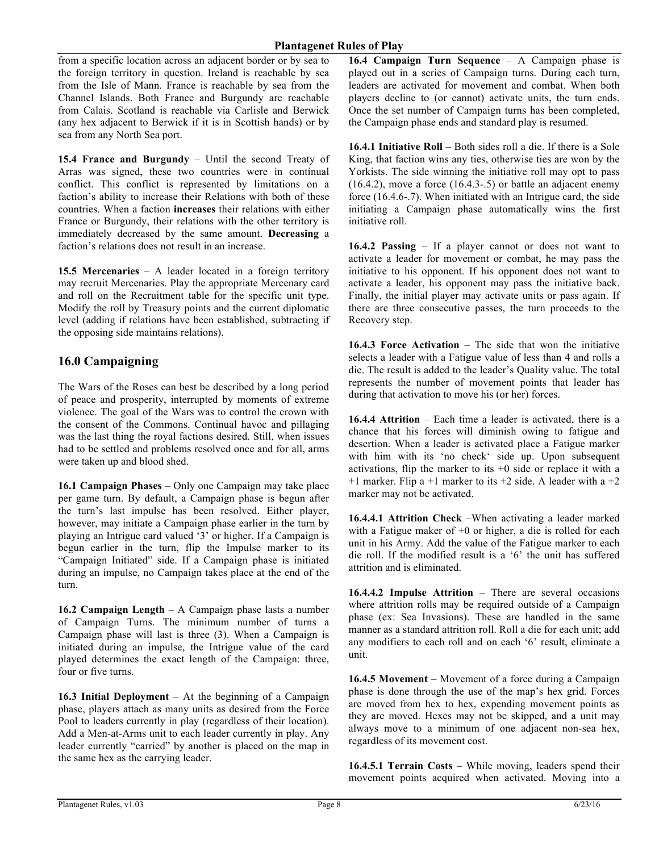from a specific location across an adjacent border or by sea to the foreign territory in question. Ireland is reachable by sea from the Isle of Mann. France is reachable by sea from the Channel Islands. Both France and Burgundy are reachable from Calais. Scotland is reachable via Carlisle and Berwick (any hex adjacent to Berwick if it is in Scottish hands) or by sea from any North Sea port.

**15.4 France and Burgundy** – Until the second Treaty of Arras was signed, these two countries were in continual conflict. This conflict is represented by limitations on a faction's ability to increase their Relations with both of these countries. When a faction **increases** their relations with either France or Burgundy, their relations with the other territory is immediately decreased by the same amount. **Decreasing** a faction's relations does not result in an increase.

**15.5 Mercenaries** – A leader located in a foreign territory may recruit Mercenaries. Play the appropriate Mercenary card and roll on the Recruitment table for the specific unit type. Modify the roll by Treasury points and the current diplomatic level (adding if relations have been established, subtracting if the opposing side maintains relations).

## **16.0 Campaigning**

The Wars of the Roses can best be described by a long period of peace and prosperity, interrupted by moments of extreme violence. The goal of the Wars was to control the crown with the consent of the Commons. Continual havoc and pillaging was the last thing the royal factions desired. Still, when issues had to be settled and problems resolved once and for all, arms were taken up and blood shed.

**16.1 Campaign Phases** – Only one Campaign may take place per game turn. By default, a Campaign phase is begun after the turn's last impulse has been resolved. Either player, however, may initiate a Campaign phase earlier in the turn by playing an Intrigue card valued '3' or higher. If a Campaign is begun earlier in the turn, flip the Impulse marker to its "Campaign Initiated" side. If a Campaign phase is initiated during an impulse, no Campaign takes place at the end of the turn.

**16.2 Campaign Length** – A Campaign phase lasts a number of Campaign Turns. The minimum number of turns a Campaign phase will last is three (3). When a Campaign is initiated during an impulse, the Intrigue value of the card played determines the exact length of the Campaign: three, four or five turns.

**16.3 Initial Deployment** – At the beginning of a Campaign phase, players attach as many units as desired from the Force Pool to leaders currently in play (regardless of their location). Add a Men-at-Arms unit to each leader currently in play. Any leader currently "carried" by another is placed on the map in the same hex as the carrying leader.

**16.4 Campaign Turn Sequence** – A Campaign phase is played out in a series of Campaign turns. During each turn, leaders are activated for movement and combat. When both players decline to (or cannot) activate units, the turn ends. Once the set number of Campaign turns has been completed, the Campaign phase ends and standard play is resumed.

**16.4.1 Initiative Roll** – Both sides roll a die. If there is a Sole King, that faction wins any ties, otherwise ties are won by the Yorkists. The side winning the initiative roll may opt to pass  $(16.4.2)$ , move a force  $(16.4.3-0.5)$  or battle an adjacent enemy force (16.4.6-.7). When initiated with an Intrigue card, the side initiating a Campaign phase automatically wins the first initiative roll.

**16.4.2 Passing** – If a player cannot or does not want to activate a leader for movement or combat, he may pass the initiative to his opponent. If his opponent does not want to activate a leader, his opponent may pass the initiative back. Finally, the initial player may activate units or pass again. If there are three consecutive passes, the turn proceeds to the Recovery step.

**16.4.3 Force Activation** – The side that won the initiative selects a leader with a Fatigue value of less than 4 and rolls a die. The result is added to the leader's Quality value. The total represents the number of movement points that leader has during that activation to move his (or her) forces.

**16.4.4 Attrition** – Each time a leader is activated, there is a chance that his forces will diminish owing to fatigue and desertion. When a leader is activated place a Fatigue marker with him with its 'no check' side up. Upon subsequent activations, flip the marker to its  $+0$  side or replace it with a  $+1$  marker. Flip a  $+1$  marker to its  $+2$  side. A leader with a  $+2$ marker may not be activated.

**16.4.4.1 Attrition Check** –When activating a leader marked with a Fatigue maker of  $+0$  or higher, a die is rolled for each unit in his Army. Add the value of the Fatigue marker to each die roll. If the modified result is a '6' the unit has suffered attrition and is eliminated.

**16.4.4.2 Impulse Attrition** – There are several occasions where attrition rolls may be required outside of a Campaign phase (ex: Sea Invasions). These are handled in the same manner as a standard attrition roll. Roll a die for each unit; add any modifiers to each roll and on each '6' result, eliminate a unit.

**16.4.5 Movement** – Movement of a force during a Campaign phase is done through the use of the map's hex grid. Forces are moved from hex to hex, expending movement points as they are moved. Hexes may not be skipped, and a unit may always move to a minimum of one adjacent non-sea hex, regardless of its movement cost.

**16.4.5.1 Terrain Costs** – While moving, leaders spend their movement points acquired when activated. Moving into a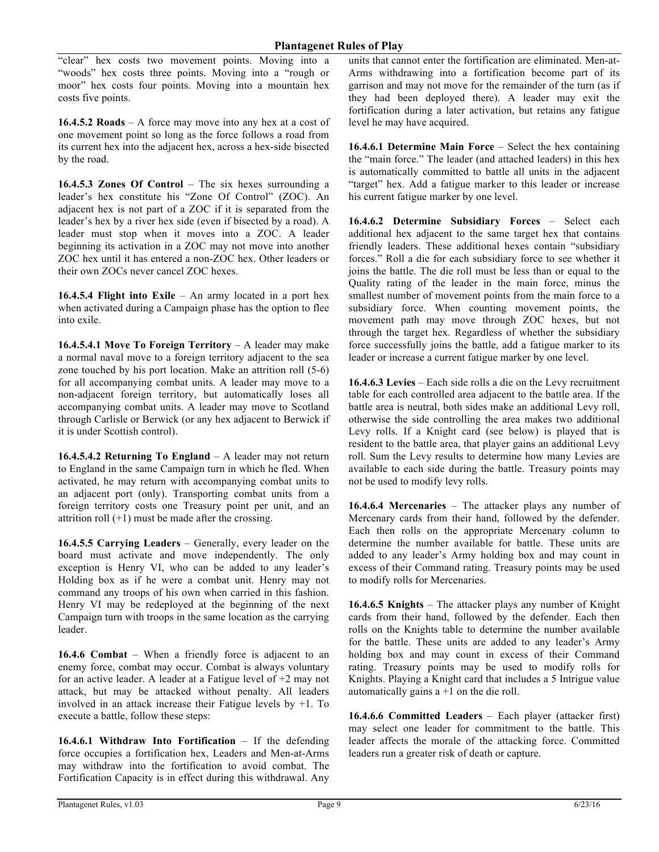"clear" hex costs two movement points. Moving into a "woods" hex costs three points. Moving into a "rough or moor" hex costs four points. Moving into a mountain hex costs five points.

**16.4.5.2 Roads** – A force may move into any hex at a cost of one movement point so long as the force follows a road from its current hex into the adjacent hex, across a hex-side bisected by the road.

**16.4.5.3 Zones Of Control** – The six hexes surrounding a leader's hex constitute his "Zone Of Control" (ZOC). An adjacent hex is not part of a ZOC if it is separated from the leader's hex by a river hex side (even if bisected by a road). A leader must stop when it moves into a ZOC. A leader beginning its activation in a ZOC may not move into another ZOC hex until it has entered a non-ZOC hex. Other leaders or their own ZOCs never cancel ZOC hexes.

**16.4.5.4 Flight into Exile** – An army located in a port hex when activated during a Campaign phase has the option to flee into exile.

**16.4.5.4.1 Move To Foreign Territory** – A leader may make a normal naval move to a foreign territory adjacent to the sea zone touched by his port location. Make an attrition roll (5-6) for all accompanying combat units. A leader may move to a non-adjacent foreign territory, but automatically loses all accompanying combat units. A leader may move to Scotland through Carlisle or Berwick (or any hex adjacent to Berwick if it is under Scottish control).

**16.4.5.4.2 Returning To England** – A leader may not return to England in the same Campaign turn in which he fled. When activated, he may return with accompanying combat units to an adjacent port (only). Transporting combat units from a foreign territory costs one Treasury point per unit, and an attrition roll  $(+1)$  must be made after the crossing.

**16.4.5.5 Carrying Leaders** – Generally, every leader on the board must activate and move independently. The only exception is Henry VI, who can be added to any leader's Holding box as if he were a combat unit. Henry may not command any troops of his own when carried in this fashion. Henry VI may be redeployed at the beginning of the next Campaign turn with troops in the same location as the carrying leader.

**16.4.6 Combat** – When a friendly force is adjacent to an enemy force, combat may occur. Combat is always voluntary for an active leader. A leader at a Fatigue level of +2 may not attack, but may be attacked without penalty. All leaders involved in an attack increase their Fatigue levels by +1. To execute a battle, follow these steps:

**16.4.6.1 Withdraw Into Fortification** – If the defending force occupies a fortification hex, Leaders and Men-at-Arms may withdraw into the fortification to avoid combat. The Fortification Capacity is in effect during this withdrawal. Any

units that cannot enter the fortification are eliminated. Men-at-Arms withdrawing into a fortification become part of its garrison and may not move for the remainder of the turn (as if they had been deployed there). A leader may exit the fortification during a later activation, but retains any fatigue level he may have acquired.

**16.4.6.1 Determine Main Force** – Select the hex containing the "main force." The leader (and attached leaders) in this hex is automatically committed to battle all units in the adjacent "target" hex. Add a fatigue marker to this leader or increase his current fatigue marker by one level.

**16.4.6.2 Determine Subsidiary Forces** – Select each additional hex adjacent to the same target hex that contains friendly leaders. These additional hexes contain "subsidiary forces." Roll a die for each subsidiary force to see whether it joins the battle. The die roll must be less than or equal to the Quality rating of the leader in the main force, minus the smallest number of movement points from the main force to a subsidiary force. When counting movement points, the movement path may move through ZOC hexes, but not through the target hex. Regardless of whether the subsidiary force successfully joins the battle, add a fatigue marker to its leader or increase a current fatigue marker by one level.

**16.4.6.3 Levies** – Each side rolls a die on the Levy recruitment table for each controlled area adjacent to the battle area. If the battle area is neutral, both sides make an additional Levy roll, otherwise the side controlling the area makes two additional Levy rolls. If a Knight card (see below) is played that is resident to the battle area, that player gains an additional Levy roll. Sum the Levy results to determine how many Levies are available to each side during the battle. Treasury points may not be used to modify levy rolls.

**16.4.6.4 Mercenaries** – The attacker plays any number of Mercenary cards from their hand, followed by the defender. Each then rolls on the appropriate Mercenary column to determine the number available for battle. These units are added to any leader's Army holding box and may count in excess of their Command rating. Treasury points may be used to modify rolls for Mercenaries.

**16.4.6.5 Knights** – The attacker plays any number of Knight cards from their hand, followed by the defender. Each then rolls on the Knights table to determine the number available for the battle. These units are added to any leader's Army holding box and may count in excess of their Command rating. Treasury points may be used to modify rolls for Knights. Playing a Knight card that includes a 5 Intrigue value automatically gains  $a + 1$  on the die roll.

**16.4.6.6 Committed Leaders** – Each player (attacker first) may select one leader for commitment to the battle. This leader affects the morale of the attacking force. Committed leaders run a greater risk of death or capture.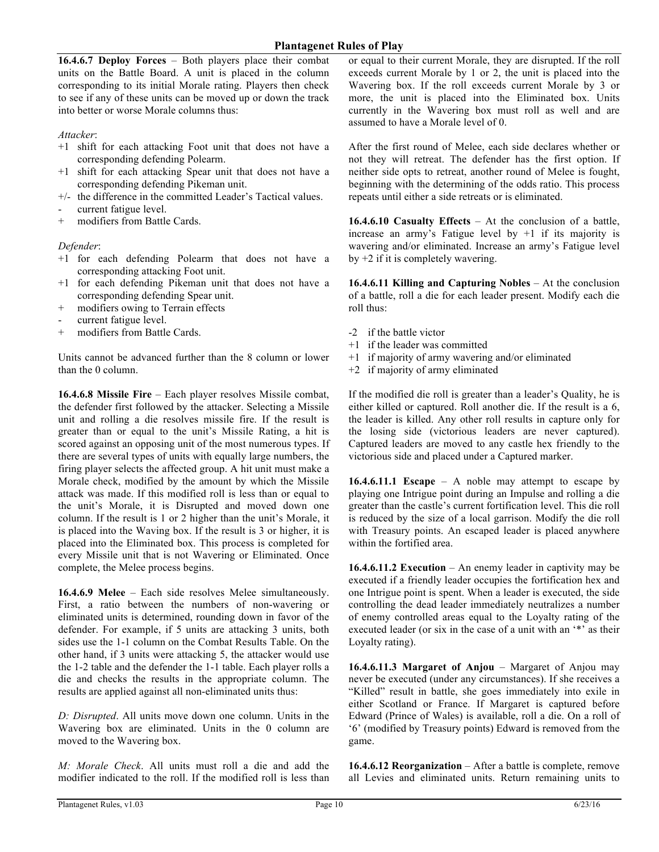**16.4.6.7 Deploy Forces** – Both players place their combat units on the Battle Board. A unit is placed in the column corresponding to its initial Morale rating. Players then check to see if any of these units can be moved up or down the track into better or worse Morale columns thus:

#### *Attacker*:

- +1 shift for each attacking Foot unit that does not have a corresponding defending Polearm.
- +1 shift for each attacking Spear unit that does not have a corresponding defending Pikeman unit.
- +/- the difference in the committed Leader's Tactical values.
- current fatigue level.
- + modifiers from Battle Cards.

#### *Defender*:

- +1 for each defending Polearm that does not have a corresponding attacking Foot unit.
- +1 for each defending Pikeman unit that does not have a corresponding defending Spear unit.
- + modifiers owing to Terrain effects
- current fatigue level.
- + modifiers from Battle Cards.

Units cannot be advanced further than the 8 column or lower than the 0 column.

**16.4.6.8 Missile Fire** – Each player resolves Missile combat, the defender first followed by the attacker. Selecting a Missile unit and rolling a die resolves missile fire. If the result is greater than or equal to the unit's Missile Rating, a hit is scored against an opposing unit of the most numerous types. If there are several types of units with equally large numbers, the firing player selects the affected group. A hit unit must make a Morale check, modified by the amount by which the Missile attack was made. If this modified roll is less than or equal to the unit's Morale, it is Disrupted and moved down one column. If the result is 1 or 2 higher than the unit's Morale, it is placed into the Waving box. If the result is 3 or higher, it is placed into the Eliminated box. This process is completed for every Missile unit that is not Wavering or Eliminated. Once complete, the Melee process begins.

**16.4.6.9 Melee** – Each side resolves Melee simultaneously. First, a ratio between the numbers of non-wavering or eliminated units is determined, rounding down in favor of the defender. For example, if 5 units are attacking 3 units, both sides use the 1-1 column on the Combat Results Table. On the other hand, if 3 units were attacking 5, the attacker would use the 1-2 table and the defender the 1-1 table. Each player rolls a die and checks the results in the appropriate column. The results are applied against all non-eliminated units thus:

*D: Disrupted*. All units move down one column. Units in the Wavering box are eliminated. Units in the 0 column are moved to the Wavering box.

*M: Morale Check*. All units must roll a die and add the modifier indicated to the roll. If the modified roll is less than or equal to their current Morale, they are disrupted. If the roll exceeds current Morale by 1 or 2, the unit is placed into the Wavering box. If the roll exceeds current Morale by 3 or more, the unit is placed into the Eliminated box. Units currently in the Wavering box must roll as well and are assumed to have a Morale level of 0.

After the first round of Melee, each side declares whether or not they will retreat. The defender has the first option. If neither side opts to retreat, another round of Melee is fought, beginning with the determining of the odds ratio. This process repeats until either a side retreats or is eliminated.

**16.4.6.10 Casualty Effects** – At the conclusion of a battle, increase an army's Fatigue level by +1 if its majority is wavering and/or eliminated. Increase an army's Fatigue level by +2 if it is completely wavering.

**16.4.6.11 Killing and Capturing Nobles** – At the conclusion of a battle, roll a die for each leader present. Modify each die roll thus:

- -2 if the battle victor
- +1 if the leader was committed
- +1 if majority of army wavering and/or eliminated
- +2 if majority of army eliminated

If the modified die roll is greater than a leader's Quality, he is either killed or captured. Roll another die. If the result is a 6, the leader is killed. Any other roll results in capture only for the losing side (victorious leaders are never captured). Captured leaders are moved to any castle hex friendly to the victorious side and placed under a Captured marker.

**16.4.6.11.1 Escape** – A noble may attempt to escape by playing one Intrigue point during an Impulse and rolling a die greater than the castle's current fortification level. This die roll is reduced by the size of a local garrison. Modify the die roll with Treasury points. An escaped leader is placed anywhere within the fortified area.

**16.4.6.11.2 Execution** – An enemy leader in captivity may be executed if a friendly leader occupies the fortification hex and one Intrigue point is spent. When a leader is executed, the side controlling the dead leader immediately neutralizes a number of enemy controlled areas equal to the Loyalty rating of the executed leader (or six in the case of a unit with an '\*' as their Loyalty rating).

**16.4.6.11.3 Margaret of Anjou** – Margaret of Anjou may never be executed (under any circumstances). If she receives a "Killed" result in battle, she goes immediately into exile in either Scotland or France. If Margaret is captured before Edward (Prince of Wales) is available, roll a die. On a roll of '6' (modified by Treasury points) Edward is removed from the game.

**16.4.6.12 Reorganization** – After a battle is complete, remove all Levies and eliminated units. Return remaining units to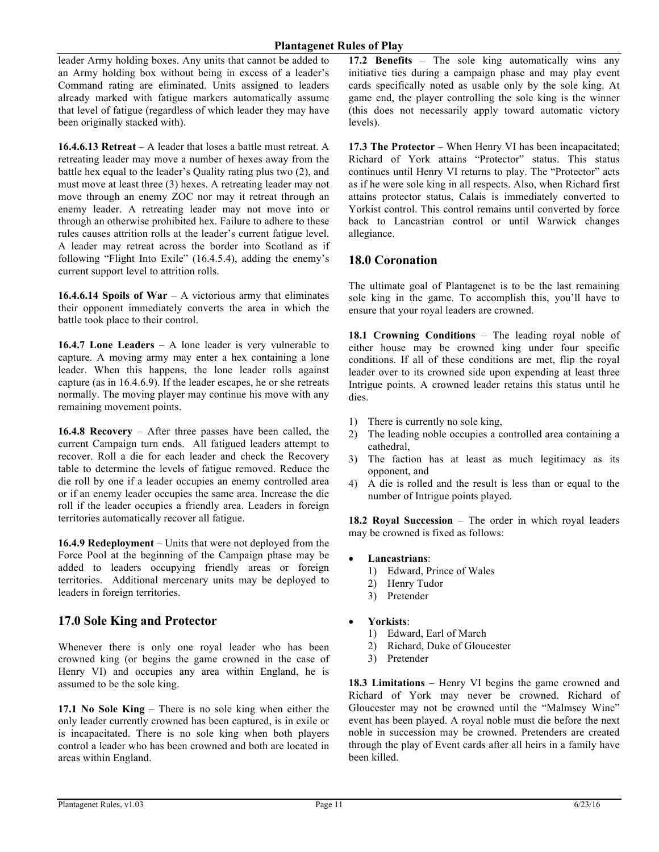leader Army holding boxes. Any units that cannot be added to an Army holding box without being in excess of a leader's Command rating are eliminated. Units assigned to leaders already marked with fatigue markers automatically assume that level of fatigue (regardless of which leader they may have been originally stacked with).

**16.4.6.13 Retreat** – A leader that loses a battle must retreat. A retreating leader may move a number of hexes away from the battle hex equal to the leader's Quality rating plus two (2), and must move at least three (3) hexes. A retreating leader may not move through an enemy ZOC nor may it retreat through an enemy leader. A retreating leader may not move into or through an otherwise prohibited hex. Failure to adhere to these rules causes attrition rolls at the leader's current fatigue level. A leader may retreat across the border into Scotland as if following "Flight Into Exile" (16.4.5.4), adding the enemy's current support level to attrition rolls.

**16.4.6.14 Spoils of War** – A victorious army that eliminates their opponent immediately converts the area in which the battle took place to their control.

**16.4.7 Lone Leaders** – A lone leader is very vulnerable to capture. A moving army may enter a hex containing a lone leader. When this happens, the lone leader rolls against capture (as in 16.4.6.9). If the leader escapes, he or she retreats normally. The moving player may continue his move with any remaining movement points.

**16.4.8 Recovery** – After three passes have been called, the current Campaign turn ends. All fatigued leaders attempt to recover. Roll a die for each leader and check the Recovery table to determine the levels of fatigue removed. Reduce the die roll by one if a leader occupies an enemy controlled area or if an enemy leader occupies the same area. Increase the die roll if the leader occupies a friendly area. Leaders in foreign territories automatically recover all fatigue.

**16.4.9 Redeployment** – Units that were not deployed from the Force Pool at the beginning of the Campaign phase may be added to leaders occupying friendly areas or foreign territories. Additional mercenary units may be deployed to leaders in foreign territories.

# **17.0 Sole King and Protector**

Whenever there is only one royal leader who has been crowned king (or begins the game crowned in the case of Henry VI) and occupies any area within England, he is assumed to be the sole king.

**17.1 No Sole King** – There is no sole king when either the only leader currently crowned has been captured, is in exile or is incapacitated. There is no sole king when both players control a leader who has been crowned and both are located in areas within England.

**17.2 Benefits** – The sole king automatically wins any initiative ties during a campaign phase and may play event cards specifically noted as usable only by the sole king. At game end, the player controlling the sole king is the winner (this does not necessarily apply toward automatic victory levels).

**17.3 The Protector** – When Henry VI has been incapacitated; Richard of York attains "Protector" status. This status continues until Henry VI returns to play. The "Protector" acts as if he were sole king in all respects. Also, when Richard first attains protector status, Calais is immediately converted to Yorkist control. This control remains until converted by force back to Lancastrian control or until Warwick changes allegiance.

## **18.0 Coronation**

The ultimate goal of Plantagenet is to be the last remaining sole king in the game. To accomplish this, you'll have to ensure that your royal leaders are crowned.

**18.1 Crowning Conditions** – The leading royal noble of either house may be crowned king under four specific conditions. If all of these conditions are met, flip the royal leader over to its crowned side upon expending at least three Intrigue points. A crowned leader retains this status until he dies.

- 1) There is currently no sole king,
- 2) The leading noble occupies a controlled area containing a cathedral,
- 3) The faction has at least as much legitimacy as its opponent, and
- 4) A die is rolled and the result is less than or equal to the number of Intrigue points played.

**18.2 Royal Succession** – The order in which royal leaders may be crowned is fixed as follows:

- **Lancastrians**:
	- 1) Edward, Prince of Wales
	- 2) Henry Tudor
	- 3) Pretender
- **Yorkists**:
	- 1) Edward, Earl of March
	- 2) Richard, Duke of Gloucester
	- 3) Pretender

**18.3 Limitations** – Henry VI begins the game crowned and Richard of York may never be crowned. Richard of Gloucester may not be crowned until the "Malmsey Wine" event has been played. A royal noble must die before the next noble in succession may be crowned. Pretenders are created through the play of Event cards after all heirs in a family have been killed.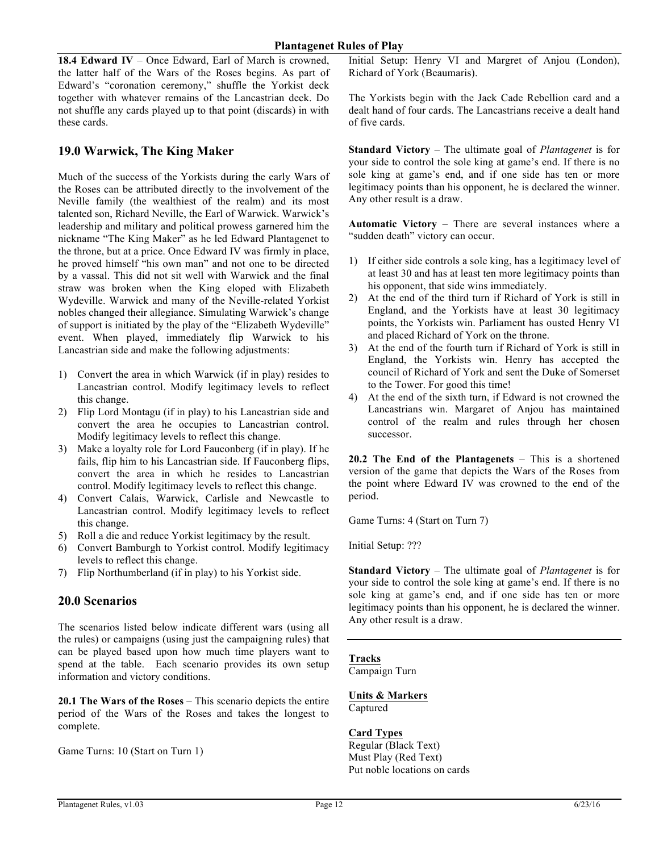**18.4 Edward IV** – Once Edward, Earl of March is crowned, the latter half of the Wars of the Roses begins. As part of Edward's "coronation ceremony," shuffle the Yorkist deck together with whatever remains of the Lancastrian deck. Do not shuffle any cards played up to that point (discards) in with these cards.

## **19.0 Warwick, The King Maker**

Much of the success of the Yorkists during the early Wars of the Roses can be attributed directly to the involvement of the Neville family (the wealthiest of the realm) and its most talented son, Richard Neville, the Earl of Warwick. Warwick's leadership and military and political prowess garnered him the nickname "The King Maker" as he led Edward Plantagenet to the throne, but at a price. Once Edward IV was firmly in place, he proved himself "his own man" and not one to be directed by a vassal. This did not sit well with Warwick and the final straw was broken when the King eloped with Elizabeth Wydeville. Warwick and many of the Neville-related Yorkist nobles changed their allegiance. Simulating Warwick's change of support is initiated by the play of the "Elizabeth Wydeville" event. When played, immediately flip Warwick to his Lancastrian side and make the following adjustments:

- 1) Convert the area in which Warwick (if in play) resides to Lancastrian control. Modify legitimacy levels to reflect this change.
- 2) Flip Lord Montagu (if in play) to his Lancastrian side and convert the area he occupies to Lancastrian control. Modify legitimacy levels to reflect this change.
- 3) Make a loyalty role for Lord Fauconberg (if in play). If he fails, flip him to his Lancastrian side. If Fauconberg flips, convert the area in which he resides to Lancastrian control. Modify legitimacy levels to reflect this change.
- 4) Convert Calais, Warwick, Carlisle and Newcastle to Lancastrian control. Modify legitimacy levels to reflect this change.
- 5) Roll a die and reduce Yorkist legitimacy by the result.
- 6) Convert Bamburgh to Yorkist control. Modify legitimacy levels to reflect this change.
- 7) Flip Northumberland (if in play) to his Yorkist side.

### **20.0 Scenarios**

The scenarios listed below indicate different wars (using all the rules) or campaigns (using just the campaigning rules) that can be played based upon how much time players want to spend at the table. Each scenario provides its own setup information and victory conditions.

**20.1 The Wars of the Roses** – This scenario depicts the entire period of the Wars of the Roses and takes the longest to complete.

Game Turns: 10 (Start on Turn 1)

Initial Setup: Henry VI and Margret of Anjou (London), Richard of York (Beaumaris).

The Yorkists begin with the Jack Cade Rebellion card and a dealt hand of four cards. The Lancastrians receive a dealt hand of five cards.

**Standard Victory** – The ultimate goal of *Plantagenet* is for your side to control the sole king at game's end. If there is no sole king at game's end, and if one side has ten or more legitimacy points than his opponent, he is declared the winner. Any other result is a draw.

**Automatic Victory** – There are several instances where a "sudden death" victory can occur.

- 1) If either side controls a sole king, has a legitimacy level of at least 30 and has at least ten more legitimacy points than his opponent, that side wins immediately.
- 2) At the end of the third turn if Richard of York is still in England, and the Yorkists have at least 30 legitimacy points, the Yorkists win. Parliament has ousted Henry VI and placed Richard of York on the throne.
- 3) At the end of the fourth turn if Richard of York is still in England, the Yorkists win. Henry has accepted the council of Richard of York and sent the Duke of Somerset to the Tower. For good this time!
- 4) At the end of the sixth turn, if Edward is not crowned the Lancastrians win. Margaret of Anjou has maintained control of the realm and rules through her chosen successor.

**20.2 The End of the Plantagenets** – This is a shortened version of the game that depicts the Wars of the Roses from the point where Edward IV was crowned to the end of the period.

Game Turns: 4 (Start on Turn 7)

Initial Setup: ???

**Standard Victory** – The ultimate goal of *Plantagenet* is for your side to control the sole king at game's end. If there is no sole king at game's end, and if one side has ten or more legitimacy points than his opponent, he is declared the winner. Any other result is a draw.

### **Tracks**

Campaign Turn

**Units & Markers** Captured

#### **Card Types**

Regular (Black Text) Must Play (Red Text) Put noble locations on cards